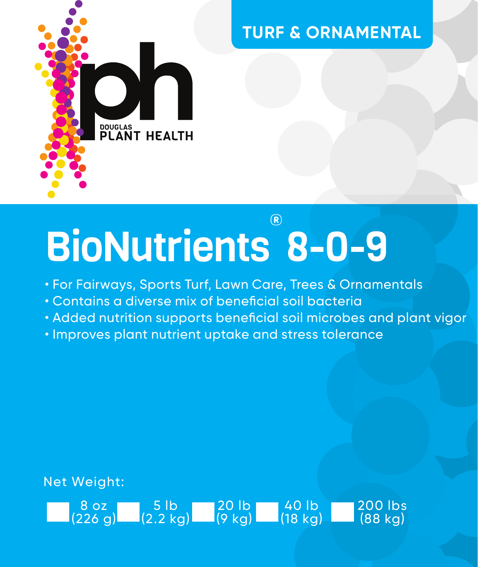

### **TURF & ORNAMENTAL**

# BioNutrients 8-0-9 ®

• For Fairways, Sports Turf, Lawn Care, Trees & Ornamentals

20 lb (9 kg)

40 lb (18 kg) 200 lbs (88 kg)

- Contains a diverse mix of beneficial soil bacteria
- Added nutrition supports beneficial soil microbes and plant vigor
- Improves plant nutrient uptake and stress tolerance

Net Weight:

8 oz (226 g)

5 lb (2.2 kg)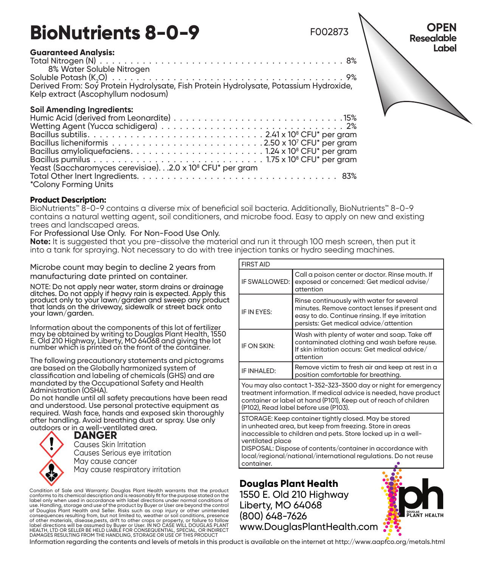## **BioNutrients 8-0-9**

#### **Guaranteed Analysis:**

Total Nitrogen (N)  $\frac{1}{2}$ ,  $\frac{1}{2}$ ,  $\frac{1}{2}$ ,  $\frac{1}{2}$ ,  $\frac{1}{2}$ ,  $\frac{1}{2}$ ,  $\frac{1}{2}$ ,  $\frac{1}{2}$ ,  $\frac{1}{2}$ ,  $\frac{1}{2}$ ,  $\frac{1}{2}$ ,  $\frac{1}{2}$ ,  $\frac{1}{2}$ ,  $\frac{1}{2}$ ,  $\frac{1}{2}$ ,  $\frac{1}{2}$ ,  $\frac{1}{2}$ ,  $\frac{1}{2}$ ,  $\frac{$ 8% Water Soluble Nitrogen

Soluble Potash (K<sub>2</sub>O) . . O) . .9% Derived From: Soy Protein Hydrolysate, Fish Protein Hydrolysate, Potassium Hydroxide, Kelp extract (Ascophyllum nodosum)

### **Soil Amending Ingredients:**

| *Colony Forming Units |
|-----------------------|

#### **Product Description:**

BioNutrients™ 8-0-9 contains a diverse mix of beneficial soil bacteria. Additionally, BioNutrients™ 8-0-9 contains a natural wetting agent, soil conditioners, and microbe food. Easy to apply on new and existing trees and landscaped areas.

#### For Professional Use Only. For Non-Food Use Only.

**Note:** It is suggested that you pre-dissolve the material and run it through 100 mesh screen, then put it into a tank for spraying. Not necessary to do with tree injection tanks or hydro seeding machines.

Microbe count may begin to decline 2 years from manufacturing date printed on container.

NOTE: Do not apply near water, storm drains or drainage<br>ditches. Do not apply if heavy rain is expected. Apply this<br>product only to your lawn/garden and sweep any product that lands on the driveway, sidewalk or street back onto your lawn/garden.

Information about the components of this lot of fertilizer may be obtained by writing to Douglas Plant Health, 1550 E. Old 210 Highway, Liberty, MO 64068 and giving the lot number which is printed on the front of the container.

The following precautionary statements and pictograms are based on the Globally harmonized system of classification and labeling of chemicals (GHS) and are mandated by the Occupational Safety and Health Administration (OSHA).

Do not handle until all safety precautions have been read and understood. Use personal protective equipment as required. Wash face, hands and exposed skin thoroughly after handling. Avoid breathing dust or spray. Use only outdoors or in a well-ventilated area.

**DANGER**

Causes Skin Irritation Causes Serious eye irritation May cause cancer May cause respiratory irritation

Condition of Sale and Warranty: Douglas Plant Health warrants that the product conforms to its chemical description and is reasonably fit for the purpose stated on the label only when used in accordance with label directions under normal conditions of use. Handling, storage and use of the product by Buyer or User are beyond the control of Douglas Plant Health and Seller. Risks such as crop injury or other unintended consequences resulting from, but not limited to, weather or soil conditions, presence of other materials, disease,pests, drift to other crops or property, or failure to follow label directions will be assumed by Buyer or User. IN NO CASE WILL DOUGLAS PLANT<br>HEALTH, LTD OR SELLER BE HELD LIABLE FOR CONSEQUENTIAL, SPECIAL, OR INDIRECT<br>DAMAGES RESULTING FROM THE HANDLING, STORAGE OR USE OF THIS PROD

| IF SWALLOWED:                                                                                                                                                                                                                                                                                                                                         | Call a poison center or doctor. Rinse mouth, If<br>exposed or concerned: Get medical advise/<br>attention                                                                               |  |  |  |
|-------------------------------------------------------------------------------------------------------------------------------------------------------------------------------------------------------------------------------------------------------------------------------------------------------------------------------------------------------|-----------------------------------------------------------------------------------------------------------------------------------------------------------------------------------------|--|--|--|
| IF IN FYES:                                                                                                                                                                                                                                                                                                                                           | Rinse continuously with water for several<br>minutes. Remove contact lenses if present and<br>easy to do. Continue rinsing. If eye irritation<br>persists: Get medical advice/attention |  |  |  |
| IF ON SKIN:                                                                                                                                                                                                                                                                                                                                           | Wash with plenty of water and soap. Take off<br>contaminated clothing and wash before reuse.<br>If skin irritation occurs: Get medical advice/<br>attention                             |  |  |  |
| IF INHAI FD:                                                                                                                                                                                                                                                                                                                                          | Remove victim to fresh air and keep at rest in a<br>position comfortable for breathing.                                                                                                 |  |  |  |
| You may also contact 1-352-323-3500 day or night for emergency<br>treatment information. If medical advice is needed, have product<br>container or label at hand (P101). Keep out of reach of children<br>(P102). Read label before use (P103).                                                                                                       |                                                                                                                                                                                         |  |  |  |
| STORAGE: Keep container tightly closed. May be stored<br>in unheated area, but keep from freezina. Store in areas<br>inaccessible to children and pets. Store locked up in a well-<br>ventilated place<br>DISPOSAL: Dispose of contents/container in accordance with<br>local/regional/national/international regulations. Do not reuse<br>container. |                                                                                                                                                                                         |  |  |  |

F002873

**Douglas Plant Health** 1550 E. Old 210 Highway Liberty, MO 64068 (800) 648-7626 www.DouglasPlantHealth.com



**OPEN Resealable Label** 

Information regarding the contents and levels of metals in this product is available on the internet at http://www.aapfco.org/metals.html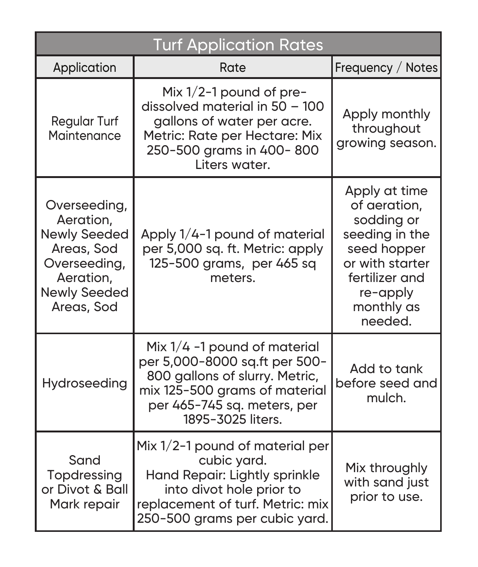| <b>Turf Application Rates</b>                                                                                                    |                                                                                                                                                                                        |                                                                                                                                                        |  |  |
|----------------------------------------------------------------------------------------------------------------------------------|----------------------------------------------------------------------------------------------------------------------------------------------------------------------------------------|--------------------------------------------------------------------------------------------------------------------------------------------------------|--|--|
| Application                                                                                                                      | Rate                                                                                                                                                                                   | Frequency / Notes                                                                                                                                      |  |  |
| <b>Regular Turf</b><br>Maintenance                                                                                               | Mix $1/2$ -1 pound of pre-<br>dissolved material in 50 - 100<br>gallons of water per acre.<br>Metric: Rate per Hectare: Mix<br>250-500 grams in 400-800<br>Liters water.               | Apply monthly<br>throughout<br>growing season.                                                                                                         |  |  |
| Overseeding,<br>Aeration.<br><b>Newly Seeded</b><br>Areas, Sod<br>Overseeding,<br>Aeration,<br><b>Newly Seeded</b><br>Areas, Sod | Apply 1/4-1 pound of material<br>per 5,000 sq. ft. Metric: apply<br>125-500 grams, per 465 sq<br>meters.                                                                               | Apply at time<br>of aeration,<br>sodding or<br>seeding in the<br>seed hopper<br>or with starter<br>fertilizer and<br>re-apply<br>monthly as<br>needed. |  |  |
| Hydroseeding                                                                                                                     | Mix $1/4$ -1 pound of material<br>per 5,000-8000 sq.ft per 500-<br>800 gallons of slurry. Metric,<br>mix 125-500 grams of material<br>per 465-745 sq. meters, per<br>1895-3025 liters. | Add to tank<br>before seed and<br>mulch.                                                                                                               |  |  |
| Sand<br>Topdressing<br>or Divot & Ball<br>Mark repair                                                                            | Mix 1/2-1 pound of material per<br>cubic yard.<br>Hand Repair: Lightly sprinkle<br>into divot hole prior to<br>replacement of turf. Metric: mix<br>250-500 grams per cubic yard.       | Mix throughly<br>with sand just<br>prior to use.                                                                                                       |  |  |